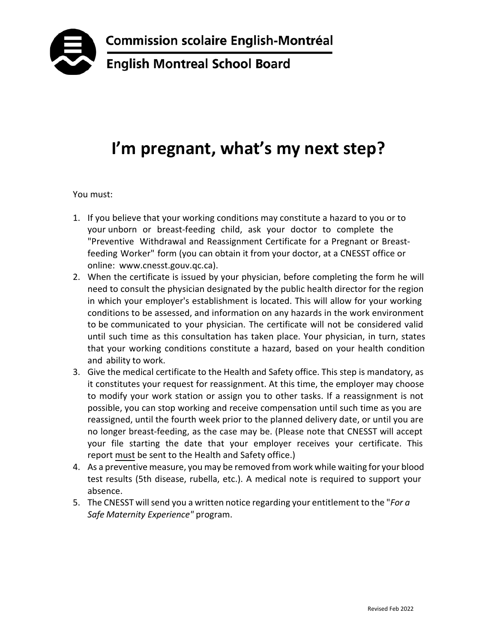

## **I'm pregnant, what's my next step?**

You must:

- 1. If you believe that your working conditions may constitute a hazard to you or to your unborn or breast-feeding child, ask your doctor to complete the "Preventive Withdrawal and Reassignment Certificate for a Pregnant or Breastfeeding Worker" form (you can obtain it from your doctor, at a CNESST office or online: www.cnesst.gouv.qc.ca).
- 2. When the certificate is issued by your physician, before completing the form he will need to consult the physician designated by the public health director for the region in which your employer's establishment is located. This will allow for your working conditions to be assessed, and information on any hazards in the work environment to be communicated to your physician. The certificate will not be considered valid until such time as this consultation has taken place. Your physician, in turn, states that your working conditions constitute a hazard, based on your health condition and ability to work.
- 3. Give the medical certificate to the Health and Safety office. This step is mandatory, as it constitutes your request for reassignment. At this time, the employer may choose to modify your work station or assign you to other tasks. If a reassignment is not possible, you can stop working and receive compensation until such time as you are reassigned, until the fourth week prior to the planned delivery date, or until you are no longer breast-feeding, as the case may be. (Please note that CNESST will accept your file starting the date that your employer receives your certificate. This report must be sent to the Health and Safety office.)
- 4. As a preventive measure, you may be removed from work while waiting for your blood test results (5th disease, rubella, etc.). A medical note is required to support your absence.
- 5. The CNESST will send you a written notice regarding your entitlement to the "*For a Safe Maternity Experience"* program.